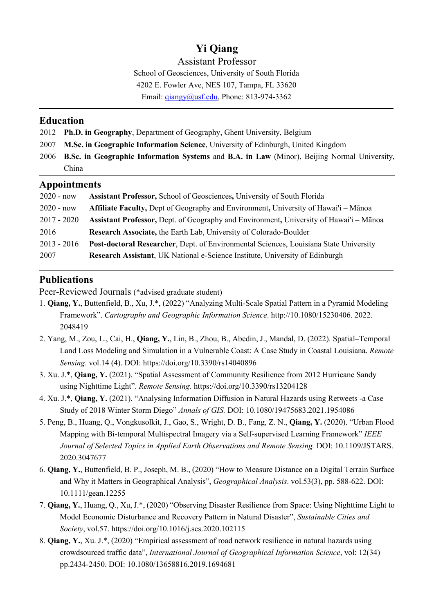# **Yi Qiang**

Assistant Professor

School of Geosciences, University of South Florida 4202 E. Fowler Ave, NES 107, Tampa, FL 33620

Email: *giangy@usf.edu*, Phone: 813-974-3362

### **Education**

2012 **Ph.D. in Geography**, Department of Geography, Ghent University, Belgium

- 2007 **M.Sc. in Geographic Information Science**, University of Edinburgh, United Kingdom
- 2006 **B.Sc. in Geographic Information Systems** and **B.A. in Law** (Minor), Beijing Normal University, China

### **Appointments**

| $2020 - now$  | Assistant Professor, School of Geosciences, University of South Florida                |
|---------------|----------------------------------------------------------------------------------------|
| $2020 - now$  | Affiliate Faculty, Dept of Geography and Environment, University of Hawai'i – Mānoa    |
| $2017 - 2020$ | Assistant Professor, Dept. of Geography and Environment, University of Hawai'i – Mānoa |
| 2016          | Research Associate, the Earth Lab, University of Colorado-Boulder                      |
| $2013 - 2016$ | Post-doctoral Researcher, Dept. of Environmental Sciences, Louisiana State University  |
| 2007          | Research Assistant, UK National e-Science Institute, University of Edinburgh           |

## **Publications**

Peer-Reviewed Journals (\*advised graduate student)

- 1. **Qiang, Y.**, Buttenfield, B., Xu, J.\*, (2022) "Analyzing Multi-Scale Spatial Pattern in a Pyramid Modeling Framework". *Cartography and Geographic Information Science*. http://10.1080/15230406. 2022. 2048419
- 2. Yang, M., Zou, L., Cai, H., **Qiang, Y.**, Lin, B., Zhou, B., Abedin, J., Mandal, D. (2022). Spatial–Temporal Land Loss Modeling and Simulation in a Vulnerable Coast: A Case Study in Coastal Louisiana. *Remote Sensing*. vol.14 (4). DOI: https://doi.org/10.3390/rs14040896
- 3. Xu. J.\*, **Qiang, Y.** (2021). "Spatial Assessment of Community Resilience from 2012 Hurricane Sandy using Nighttime Light". *Remote Sensing*. https://doi.org/10.3390/rs13204128
- 4. Xu. J.\*, **Qiang, Y.** (2021). "Analysing Information Diffusion in Natural Hazards using Retweets -a Case Study of 2018 Winter Storm Diego" *Annals of GIS.* DOI: 10.1080/19475683.2021.1954086
- 5. Peng, B., Huang, Q., Vongkusolkit, J., Gao, S., Wright, D. B., Fang, Z. N., **Qiang, Y.** (2020). "Urban Flood Mapping with Bi-temporal Multispectral Imagery via a Self-supervised Learning Framework" *IEEE Journal of Selected Topics in Applied Earth Observations and Remote Sensing.* DOI: 10.1109/JSTARS. 2020.3047677
- 6. **Qiang, Y.**, Buttenfield, B. P., Joseph, M. B., (2020) "How to Measure Distance on a Digital Terrain Surface and Why it Matters in Geographical Analysis", *Geographical Analysis*. vol.53(3), pp. 588-622. DOI: 10.1111/gean.12255
- 7. **Qiang, Y.**, Huang, Q., Xu, J.\*, (2020) "Observing Disaster Resilience from Space: Using Nighttime Light to Model Economic Disturbance and Recovery Pattern in Natural Disaster", *Sustainable Cities and Society*, vol.57. https://doi.org/10.1016/j.scs.2020.102115
- 8. **Qiang, Y.**, Xu. J.\*, (2020) "Empirical assessment of road network resilience in natural hazards using crowdsourced traffic data", *International Journal of Geographical Information Science*, vol: 12(34) pp.2434-2450. DOI: 10.1080/13658816.2019.1694681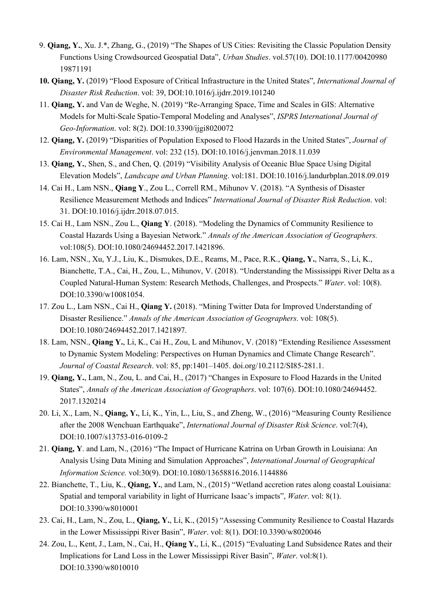- 9. **Qiang, Y.**, Xu. J.\*, Zhang, G., (2019) "The Shapes of US Cities: Revisiting the Classic Population Density Functions Using Crowdsourced Geospatial Data", *Urban Studies*. vol.57(10). DOI:10.1177/00420980 19871191
- **10. Qiang, Y.** (2019) "Flood Exposure of Critical Infrastructure in the United States", *International Journal of Disaster Risk Reduction*. vol: 39, DOI:10.1016/j.ijdrr.2019.101240
- 11. **Qiang, Y.** and Van de Weghe, N. (2019) "Re-Arranging Space, Time and Scales in GIS: Alternative Models for Multi-Scale Spatio-Temporal Modeling and Analyses", *ISPRS International Journal of Geo-Information*. vol: 8(2). DOI:10.3390/ijgi8020072
- 12. **Qiang, Y.** (2019) "Disparities of Population Exposed to Flood Hazards in the United States", *Journal of Environmental Management*. vol: 232 (15). DOI:10.1016/j.jenvman.2018.11.039
- 13. **Qiang, Y.**, Shen, S., and Chen, Q. (2019) "Visibility Analysis of Oceanic Blue Space Using Digital Elevation Models", *Landscape and Urban Planning*. vol:181. DOI:10.1016/j.landurbplan.2018.09.019
- 14. Cai H., Lam NSN., **Qiang Y**., Zou L., Correll RM., Mihunov V. (2018). "A Synthesis of Disaster Resilience Measurement Methods and Indices" *International Journal of Disaster Risk Reduction*. vol: 31. DOI:10.1016/j.ijdrr.2018.07.015.
- 15. Cai H., Lam NSN., Zou L., **Qiang Y**. (2018). "Modeling the Dynamics of Community Resilience to Coastal Hazards Using a Bayesian Network." *Annals of the American Association of Geographers.* vol:108(5). DOI:10.1080/24694452.2017.1421896.
- 16. Lam, NSN., Xu, Y.J., Liu, K., Dismukes, D.E., Reams, M., Pace, R.K., **Qiang, Y.**, Narra, S., Li, K., Bianchette, T.A., Cai, H., Zou, L., Mihunov, V. (2018). "Understanding the Mississippi River Delta as a Coupled Natural-Human System: Research Methods, Challenges, and Prospects." *Water*. vol: 10(8). DOI:10.3390/w10081054.
- 17. Zou L., Lam NSN., Cai H., **Qiang Y.** (2018). "Mining Twitter Data for Improved Understanding of Disaster Resilience." *Annals of the American Association of Geographers.* vol: 108(5). DOI:10.1080/24694452.2017.1421897.
- 18. Lam, NSN., **Qiang Y.**, Li, K., Cai H., Zou, L and Mihunov, V. (2018) "Extending Resilience Assessment to Dynamic System Modeling: Perspectives on Human Dynamics and Climate Change Research". *Journal of Coastal Research*. vol: 85, pp:1401–1405. doi.org/10.2112/SI85-281.1.
- 19. **Qiang, Y.**, Lam, N., Zou, L. and Cai, H., (2017) "Changes in Exposure to Flood Hazards in the United States", *Annals of the American Association of Geographers*. vol: 107(6). DOI:10.1080/24694452. 2017.1320214
- 20. Li, X., Lam, N., **Qiang, Y.**, Li, K., Yin, L., Liu, S., and Zheng, W., (2016) "Measuring County Resilience after the 2008 Wenchuan Earthquake", *International Journal of Disaster Risk Science*. vol:7(4), DOI:10.1007/s13753-016-0109-2
- 21. **Qiang, Y**. and Lam, N., (2016) "The Impact of Hurricane Katrina on Urban Growth in Louisiana: An Analysis Using Data Mining and Simulation Approaches", *International Journal of Geographical Information Science.* vol:30(9). DOI:10.1080/13658816.2016.1144886
- 22. Bianchette, T., Liu, K., **Qiang, Y.**, and Lam, N., (2015) "Wetland accretion rates along coastal Louisiana: Spatial and temporal variability in light of Hurricane Isaac's impacts", *Water*. vol: 8(1). DOI:10.3390/w8010001
- 23. Cai, H., Lam, N., Zou, L., **Qiang, Y.**, Li, K., (2015) "Assessing Community Resilience to Coastal Hazards in the Lower Mississippi River Basin", *Water*. vol: 8(1). DOI:10.3390/w8020046
- 24. Zou, L., Kent, J., Lam, N., Cai, H., **Qiang Y.**, Li, K., (2015) "Evaluating Land Subsidence Rates and their Implications for Land Loss in the Lower Mississippi River Basin", *Water*. vol:8(1). DOI:10.3390/w8010010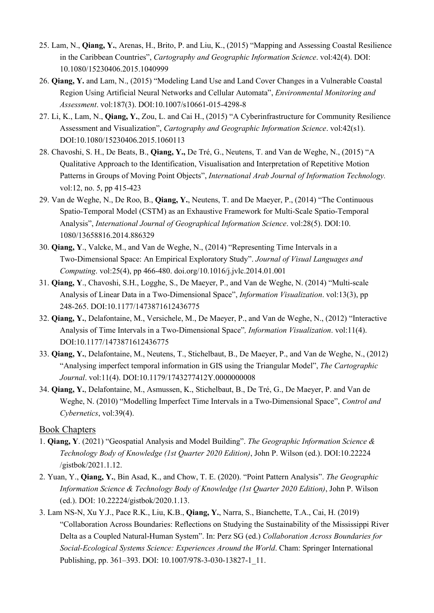- 25. Lam, N., **Qiang, Y.**, Arenas, H., Brito, P. and Liu, K., (2015) "Mapping and Assessing Coastal Resilience in the Caribbean Countries", *Cartography and Geographic Information Science*. vol:42(4). DOI: 10.1080/15230406.2015.1040999
- 26. **Qiang, Y.** and Lam, N., (2015) "Modeling Land Use and Land Cover Changes in a Vulnerable Coastal Region Using Artificial Neural Networks and Cellular Automata", *Environmental Monitoring and Assessment*. vol:187(3). DOI:10.1007/s10661-015-4298-8
- 27. Li, K., Lam, N., **Qiang, Y.**, Zou, L. and Cai H., (2015) "A Cyberinfrastructure for Community Resilience Assessment and Visualization", *Cartography and Geographic Information Science*. vol:42(s1). DOI:10.1080/15230406.2015.1060113
- 28. Chavoshi, S. H., De Beats, B., **Qiang, Y.,** De Tré, G., Neutens, T. and Van de Weghe, N., (2015) "A Qualitative Approach to the Identification, Visualisation and Interpretation of Repetitive Motion Patterns in Groups of Moving Point Objects", *International Arab Journal of Information Technology.*  vol:12, no. 5, pp 415-423
- 29. Van de Weghe, N., De Roo, B., **Qiang, Y.**, Neutens, T. and De Maeyer, P., (2014) "The Continuous Spatio-Temporal Model (CSTM) as an Exhaustive Framework for Multi-Scale Spatio-Temporal Analysis", *International Journal of Geographical Information Science*. vol:28(5). DOI:10. 1080/13658816.2014.886329
- 30. **Qiang, Y**., Valcke, M., and Van de Weghe, N., (2014) "Representing Time Intervals in a Two-Dimensional Space: An Empirical Exploratory Study". *Journal of Visual Languages and Computing*. vol:25(4), pp 466-480. doi.org/10.1016/j.jvlc.2014.01.001
- 31. **Qiang, Y**., Chavoshi, S.H., Logghe, S., De Maeyer, P., and Van de Weghe, N. (2014) "Multi-scale Analysis of Linear Data in a Two-Dimensional Space", *Information Visualization*. vol:13(3), pp 248-265. DOI:10.1177/1473871612436775
- 32. **Qiang, Y.**, Delafontaine, M., Versichele, M., De Maeyer, P., and Van de Weghe, N., (2012) "Interactive Analysis of Time Intervals in a Two-Dimensional Space"*, Information Visualization*. vol:11(4). DOI:10.1177/1473871612436775
- 33. **Qiang, Y.**, Delafontaine, M., Neutens, T., Stichelbaut, B., De Maeyer, P., and Van de Weghe, N., (2012) "Analysing imperfect temporal information in GIS using the Triangular Model", *The Cartographic Journal*. vol:11(4). DOI:10.1179/1743277412Y.0000000008
- 34. **Qiang, Y.**, Delafontaine, M., Asmussen, K., Stichelbaut, B., De Tré, G., De Maeyer, P. and Van de Weghe, N. (2010) "Modelling Imperfect Time Intervals in a Two-Dimensional Space", *Control and Cybernetics*, vol:39(4).

#### Book Chapters

- 1. **Qiang, Y**. (2021) "Geospatial Analysis and Model Building". *The Geographic Information Science & Technology Body of Knowledge (1st Quarter 2020 Edition)*, John P. Wilson (ed.). DOI:10.22224 /gistbok/2021.1.12.
- 2. Yuan, Y., **Qiang, Y.**, Bin Asad, K., and Chow, T. E. (2020). "Point Pattern Analysis". *The Geographic Information Science & Technology Body of Knowledge (1st Quarter 2020 Edition)*, John P. Wilson (ed.). DOI: 10.22224/gistbok/2020.1.13.
- 3. Lam NS-N, Xu Y.J., Pace R.K., Liu, K.B., **Qiang, Y.**, Narra, S., Bianchette, T.A., Cai, H. (2019) "Collaboration Across Boundaries: Reflections on Studying the Sustainability of the Mississippi River Delta as a Coupled Natural-Human System". In: Perz SG (ed.) *Collaboration Across Boundaries for Social-Ecological Systems Science: Experiences Around the World*. Cham: Springer International Publishing, pp. 361–393. DOI: 10.1007/978-3-030-13827-1\_11.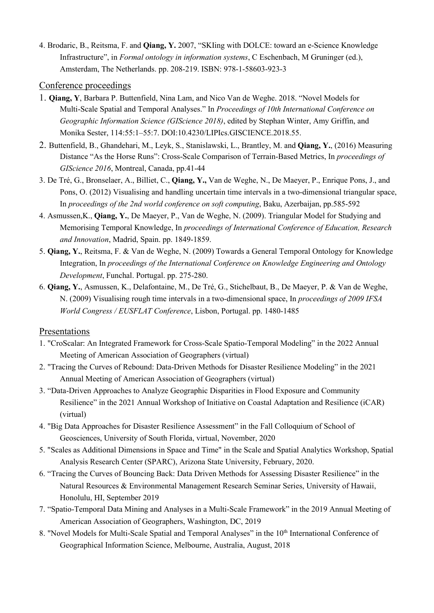4. Brodaric, B., Reitsma, F. and **Qiang, Y.** 2007, "SKIing with DOLCE: toward an e-Science Knowledge Infrastructure", in *Formal ontology in information systems*, C Eschenbach, M Gruninger (ed.), Amsterdam, The Netherlands. pp. 208-219. ISBN: 978-1-58603-923-3

#### Conference proceedings

- 1. **Qiang, Y**, Barbara P. Buttenfield, Nina Lam, and Nico Van de Weghe. 2018. "Novel Models for Multi-Scale Spatial and Temporal Analyses." In *Proceedings of 10th International Conference on Geographic Information Science (GIScience 2018)*, edited by Stephan Winter, Amy Griffin, and Monika Sester, 114:55:1–55:7. DOI:10.4230/LIPIcs.GISCIENCE.2018.55.
- 2. Buttenfield, B., Ghandehari, M., Leyk, S., Stanislawski, L., Brantley, M. and **Qiang, Y.**, (2016) Measuring Distance "As the Horse Runs": Cross-Scale Comparison of Terrain-Based Metrics, In *proceedings of GIScience 2016*, Montreal, Canada, pp.41-44
- 3. De Tré, G., Bronselaer, A., Billiet, C., **Qiang, Y.,** Van de Weghe, N., De Maeyer, P., Enrique Pons, J., and Pons, O. (2012) Visualising and handling uncertain time intervals in a two-dimensional triangular space, In *proceedings of the 2nd world conference on soft computing*, Baku, Azerbaijan, pp.585-592
- 4. Asmussen,K., **Qiang, Y.**, De Maeyer, P., Van de Weghe, N. (2009). Triangular Model for Studying and Memorising Temporal Knowledge, In *proceedings of International Conference of Education, Research and Innovation*, Madrid, Spain. pp. 1849-1859.
- 5. **Qiang, Y.**, Reitsma, F. & Van de Weghe, N. (2009) Towards a General Temporal Ontology for Knowledge Integration, In *proceedings of the International Conference on Knowledge Engineering and Ontology Development*, Funchal. Portugal. pp. 275-280.
- 6. **Qiang, Y.**, Asmussen, K., Delafontaine, M., De Tré, G., Stichelbaut, B., De Maeyer, P. & Van de Weghe, N. (2009) Visualising rough time intervals in a two-dimensional space, In *proceedings of 2009 IFSA World Congress / EUSFLAT Conference*, Lisbon, Portugal. pp. 1480-1485

#### Presentations

- 1. "CroScalar: An Integrated Framework for Cross-Scale Spatio-Temporal Modeling" in the 2022 Annual Meeting of American Association of Geographers (virtual)
- 2. "Tracing the Curves of Rebound: Data-Driven Methods for Disaster Resilience Modeling" in the 2021 Annual Meeting of American Association of Geographers (virtual)
- 3. "Data-Driven Approaches to Analyze Geographic Disparities in Flood Exposure and Community Resilience" in the 2021 Annual Workshop of Initiative on Coastal Adaptation and Resilience (iCAR) (virtual)
- 4. "Big Data Approaches for Disaster Resilience Assessment" in the Fall Colloquium of School of Geosciences, University of South Florida, virtual, November, 2020
- 5. "Scales as Additional Dimensions in Space and Time" in the Scale and Spatial Analytics Workshop, Spatial Analysis Research Center (SPARC), Arizona State University, February, 2020.
- 6. "Tracing the Curves of Bouncing Back: Data Driven Methods for Assessing Disaster Resilience" in the Natural Resources & Environmental Management Research Seminar Series, University of Hawaii, Honolulu, HI, September 2019
- 7. "Spatio-Temporal Data Mining and Analyses in a Multi-Scale Framework" in the 2019 Annual Meeting of American Association of Geographers, Washington, DC, 2019
- 8. "Novel Models for Multi-Scale Spatial and Temporal Analyses" in the 10<sup>th</sup> International Conference of Geographical Information Science, Melbourne, Australia, August, 2018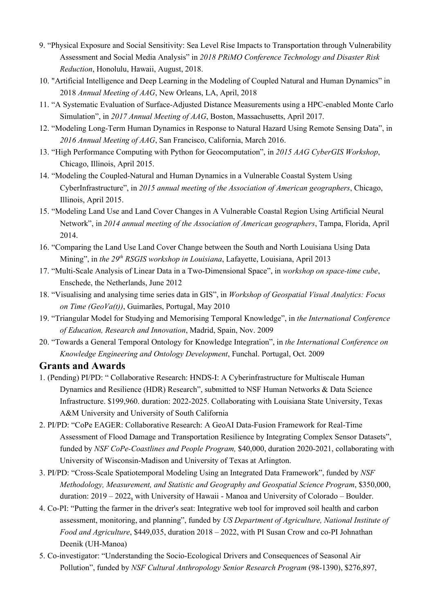- 9. "Physical Exposure and Social Sensitivity: Sea Level Rise Impacts to Transportation through Vulnerability Assessment and Social Media Analysis" in *2018 PRiMO Conference Technology and Disaster Risk Reduction*, Honolulu, Hawaii, August, 2018.
- 10. "Artificial Intelligence and Deep Learning in the Modeling of Coupled Natural and Human Dynamics" in 2018 *Annual Meeting of AAG*, New Orleans, LA, April, 2018
- 11. "A Systematic Evaluation of Surface-Adjusted Distance Measurements using a HPC-enabled Monte Carlo Simulation", in *2017 Annual Meeting of AAG*, Boston, Massachusetts, April 2017.
- 12. "Modeling Long-Term Human Dynamics in Response to Natural Hazard Using Remote Sensing Data", in *2016 Annual Meeting of AAG*, San Francisco, California, March 2016.
- 13. "High Performance Computing with Python for Geocomputation", in *2015 AAG CyberGIS Workshop*, Chicago, Illinois, April 2015.
- 14. "Modeling the Coupled-Natural and Human Dynamics in a Vulnerable Coastal System Using CyberInfrastructure", in *2015 annual meeting of the Association of American geographers*, Chicago, Illinois, April 2015.
- 15. "Modeling Land Use and Land Cover Changes in A Vulnerable Coastal Region Using Artificial Neural Network", in *2014 annual meeting of the Association of American geographers*, Tampa, Florida, April 2014.
- 16. "Comparing the Land Use Land Cover Change between the South and North Louisiana Using Data Mining", in *the 29th RSGIS workshop in Louisiana*, Lafayette, Louisiana, April 2013
- 17. "Multi-Scale Analysis of Linear Data in a Two-Dimensional Space", in *workshop on space-time cube*, Enschede, the Netherlands, June 2012
- 18. "Visualising and analysing time series data in GIS", in *Workshop of Geospatial Visual Analytics: Focus on Time (GeoVa(t))*, Guimarães, Portugal, May 2010
- 19. "Triangular Model for Studying and Memorising Temporal Knowledge", in *the International Conference of Education, Research and Innovation*, Madrid, Spain, Nov. 2009
- 20. "Towards a General Temporal Ontology for Knowledge Integration", in *the International Conference on Knowledge Engineering and Ontology Development*, Funchal. Portugal, Oct. 2009

#### **Grants and Awards**

- 1. (Pending) PI/PD: " Collaborative Research: HNDS-I: A Cyberinfrastructure for Multiscale Human Dynamics and Resilience (HDR) Research", submitted to NSF Human Networks & Data Science Infrastructure. \$199,960. duration: 2022-2025. Collaborating with Louisiana State University, Texas A&M University and University of South California
- 2. PI/PD: "CoPe EAGER: Collaborative Research: A GeoAI Data-Fusion Framework for Real-Time Assessment of Flood Damage and Transportation Resilience by Integrating Complex Sensor Datasets", funded by *NSF CoPe-Coastlines and People Program,* \$40,000, duration 2020-2021, collaborating with University of Wisconsin-Madison and University of Texas at Arlington.
- 3. PI/PD: "Cross-Scale Spatiotemporal Modeling Using an Integrated Data Framework", funded by *NSF Methodology, Measurement, and Statistic and Geography and Geospatial Science Program*, \$350,000, duration: 2019 – 2022, with University of Hawaii - Manoa and University of Colorado – Boulder.
- 4. Co-PI: "Putting the farmer in the driver's seat: Integrative web tool for improved soil health and carbon assessment, monitoring, and planning", funded by *US Department of Agriculture, National Institute of Food and Agriculture*, \$449,035, duration 2018 – 2022, with PI Susan Crow and co-PI Johnathan Deenik (UH-Manoa)
- 5. Co-investigator: "Understanding the Socio-Ecological Drivers and Consequences of Seasonal Air Pollution", funded by *NSF Cultural Anthropology Senior Research Program* (98-1390), \$276,897,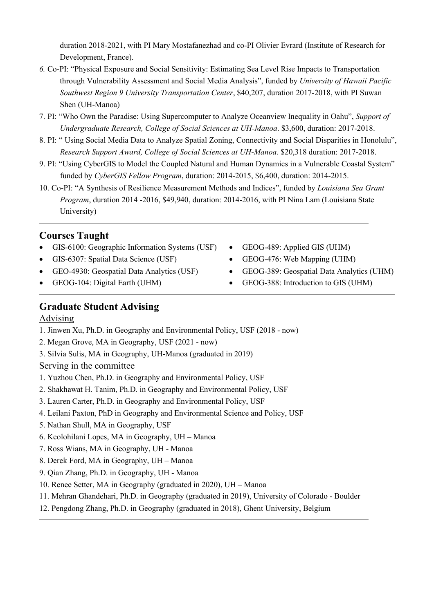duration 2018-2021, with PI Mary Mostafanezhad and co-PI Olivier Evrard (Institute of Research for Development, France).

- *6.* Co-PI: "Physical Exposure and Social Sensitivity: Estimating Sea Level Rise Impacts to Transportation through Vulnerability Assessment and Social Media Analysis", funded by *University of Hawaii Pacific Southwest Region 9 University Transportation Center*, \$40,207, duration 2017-2018, with PI Suwan Shen (UH-Manoa)
- 7. PI: "Who Own the Paradise: Using Supercomputer to Analyze Oceanview Inequality in Oahu", *Support of Undergraduate Research, College of Social Sciences at UH-Manoa*. \$3,600, duration: 2017-2018.
- 8. PI: " Using Social Media Data to Analyze Spatial Zoning, Connectivity and Social Disparities in Honolulu", *Research Support Award, College of Social Sciences at UH-Manoa*. \$20,318 duration: 2017-2018.
- 9. PI: "Using CyberGIS to Model the Coupled Natural and Human Dynamics in a Vulnerable Coastal System" funded by *CyberGIS Fellow Program*, duration: 2014-2015, \$6,400, duration: 2014-2015.
- 10. Co-PI: "A Synthesis of Resilience Measurement Methods and Indices", funded by *Louisiana Sea Grant Program*, duration 2014 -2016, \$49,940, duration: 2014-2016, with PI Nina Lam (Louisiana State University)

## **Courses Taught**

- GIS-6100: Geographic Information Systems (USF)
- GIS-6307: Spatial Data Science (USF)
- GEO-4930: Geospatial Data Analytics (USF)
- GEOG-104: Digital Earth (UHM)
- GEOG-489: Applied GIS (UHM)
- GEOG-476: Web Mapping (UHM)
- GEOG-389: Geospatial Data Analytics (UHM)
- GEOG-388: Introduction to GIS (UHM)

## **Graduate Student Advising**

### Advising

- 1. Jinwen Xu, Ph.D. in Geography and Environmental Policy, USF (2018 now)
- 2. Megan Grove, MA in Geography, USF (2021 now)
- 3. Silvia Sulis, MA in Geography, UH-Manoa (graduated in 2019)

#### Serving in the committee

- 1. Yuzhou Chen, Ph.D. in Geography and Environmental Policy, USF
- 2. Shakhawat H. Tanim, Ph.D. in Geography and Environmental Policy, USF
- 3. Lauren Carter, Ph.D. in Geography and Environmental Policy, USF
- 4. Leilani Paxton, PhD in Geography and Environmental Science and Policy, USF
- 5. Nathan Shull, MA in Geography, USF
- 6. Keolohilani Lopes, MA in Geography, UH Manoa
- 7. Ross Wians, MA in Geography, UH Manoa
- 8. Derek Ford, MA in Geography, UH Manoa
- 9. Qian Zhang, Ph.D. in Geography, UH Manoa
- 10. Renee Setter, MA in Geography (graduated in 2020), UH Manoa
- 11. Mehran Ghandehari, Ph.D. in Geography (graduated in 2019), University of Colorado Boulder
- 12. Pengdong Zhang, Ph.D. in Geography (graduated in 2018), Ghent University, Belgium